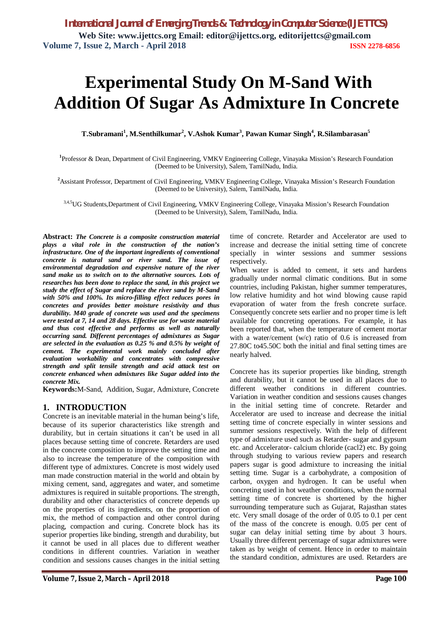# **Experimental Study On M-Sand With Addition Of Sugar As Admixture In Concrete**

**T.Subramani<sup>1</sup> , M.Senthilkumar<sup>2</sup> , V.Ashok Kumar<sup>3</sup> , Pawan Kumar Singh<sup>4</sup> , R.Silambarasan<sup>5</sup>**

**1** Professor & Dean, Department of Civil Engineering, VMKV Engineering College, Vinayaka Mission's Research Foundation (Deemed to be University), Salem, TamilNadu, India.

**<sup>2</sup>**Assistant Professor, Department of Civil Engineering, VMKV Engineering College, Vinayaka Mission's Research Foundation (Deemed to be University), Salem, TamilNadu, India.

3,4,5 UG Students, Department of Civil Engineering, VMKV Engineering College, Vinayaka Mission's Research Foundation (Deemed to be University), Salem, TamilNadu, India.

**Abstract:** *The Concrete is a composite construction material plays a vital role in the construction of the nation's infrastructure. One of the important ingredients of conventional concrete is natural sand or river sand. The issue of environmental degradation and expensive nature of the river sand make us to switch on to the alternative sources. Lots of researches has been done to replace the sand, in this project we study the effect of Sugar and replace the river sand by M-Sand with 50% and 100%. Its micro-filling effect reduces pores in concretes and provides better moisture resistivity and thus durability. M40 grade of concrete was used and the specimens were tested at 7, 14 and 28 days. Effective use for waste material and thus cost effective and performs as well as naturally occurring sand. Different percentages of admixtures as Sugar are selected in the evaluation as 0.25 % and 0.5% by weight of cement. The experimental work mainly concluded after evaluation workability and concentrates with compressive strength and split tensile strength and acid attack test on concrete enhanced when admixtures like Sugar added into the concrete Mix.*

**Keywords:**M-Sand, Addition, Sugar, Admixture, Concrete

## **1. INTRODUCTION**

Concrete is an inevitable material in the human being's life, because of its superior characteristics like strength and durability, but in certain situations it can't be used in all places because setting time of concrete. Retarders are used in the concrete composition to improve the setting time and also to increase the temperature of the composition with different type of admixtures. Concrete is most widely used man made construction material in the world and obtain by mixing cement, sand, aggregates and water, and sometime admixtures is required in suitable proportions. The strength, durability and other characteristics of concrete depends up on the properties of its ingredients, on the proportion of mix, the method of compaction and other control during placing, compaction and curing. Concrete block has its superior properties like binding, strength and durability, but it cannot be used in all places due to different weather conditions in different countries. Variation in weather condition and sessions causes changes in the initial setting

time of concrete. Retarder and Accelerator are used to increase and decrease the initial setting time of concrete specially in winter sessions and summer sessions respectively.

When water is added to cement, it sets and hardens gradually under normal climatic conditions. But in some countries, including Pakistan, higher summer temperatures, low relative humidity and hot wind blowing cause rapid evaporation of water from the fresh concrete surface. Consequently concrete sets earlier and no proper time is left available for concreting operations. For example, it has been reported that, when the temperature of cement mortar with a water/cement (w/c) ratio of 0.6 is increased from 27.80C to45.50C both the initial and final setting times are nearly halved.

Concrete has its superior properties like binding, strength and durability, but it cannot be used in all places due to different weather conditions in different countries. Variation in weather condition and sessions causes changes in the initial setting time of concrete. Retarder and Accelerator are used to increase and decrease the initial setting time of concrete especially in winter sessions and summer sessions respectively. With the help of different type of admixture used such as Retarder- sugar and gypsum etc. and Accelerator- calcium chloride (cacl2) etc. By going through studying to various review papers and research papers sugar is good admixture to increasing the initial setting time. Sugar is a carbohydrate, a composition of carbon, oxygen and hydrogen. It can be useful when concreting used in hot weather conditions, when the normal setting time of concrete is shortened by the higher surrounding temperature such as Gujarat, Rajasthan states etc. Very small dosage of the order of 0.05 to 0.1 per cent of the mass of the concrete is enough. 0.05 per cent of sugar can delay initial setting time by about 3 hours. Usually three different percentage of sugar admixtures were taken as by weight of cement. Hence in order to maintain the standard condition, admixtures are used. Retarders are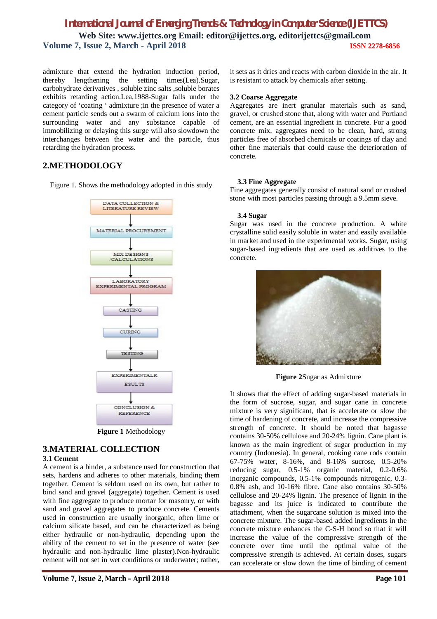admixture that extend the hydration induction period, thereby lengthening the setting times(Lea).Sugar, carbohydrate derivatives , soluble zinc salts ,soluble borates exhibits retarding action.Lea,1988-Sugar falls under the category of 'coating ' admixture ;in the presence of water a cement particle sends out a swarm of calcium ions into the surrounding water and any substance capable of immobilizing or delaying this surge will also slowdown the interchanges between the water and the particle, thus retarding the hydration process.

## **2.METHODOLOGY**

Figure 1. Shows the methodology adopted in this study



**Figure 1** Methodology

# **3.MATERIAL COLLECTION**

## **3.1 Cement**

A cement is a binder, a substance used for construction that sets, hardens and adheres to other materials, binding them together. Cement is seldom used on its own, but rather to bind sand and gravel (aggregate) together. Cement is used with fine aggregate to produce mortar for masonry, or with sand and gravel aggregates to produce concrete. Cements used in construction are usually inorganic, often lime or calcium silicate based, and can be characterized as being either hydraulic or non-hydraulic, depending upon the ability of the cement to set in the presence of water (see hydraulic and non-hydraulic lime plaster).Non-hydraulic cement will not set in wet conditions or underwater; rather,

it sets as it dries and reacts with carbon dioxide in the air. It is resistant to attack by chemicals after setting.

#### **3.2 Coarse Aggregate**

Aggregates are inert granular materials such as sand, gravel, or crushed stone that, along with water and Portland cement, are an essential ingredient in concrete. For a good concrete mix, aggregates need to be clean, hard, strong particles free of absorbed chemicals or coatings of clay and other fine materials that could cause the deterioration of concrete.

#### **3.3 Fine Aggregate**

Fine aggregates generally consist of natural sand or crushed stone with most particles passing through a 9.5mm sieve.

#### **3.4 Sugar**

Sugar was used in the concrete production. A white crystalline solid easily soluble in water and easily available in market and used in the experimental works. Sugar, using sugar-based ingredients that are used as additives to the concrete.



**Figure 2**Sugar as Admixture

It shows that the effect of adding sugar-based materials in the form of sucrose, sugar, and sugar cane in concrete mixture is very significant, that is accelerate or slow the time of hardening of concrete, and increase the compressive strength of concrete. It should be noted that bagasse contains 30-50% cellulose and 20-24% lignin. Cane plant is known as the main ingredient of sugar production in my country (Indonesia). In general, cooking cane rods contain 67-75% water, 8-16%, and 8-16% sucrose, 0.5-20% reducing sugar, 0.5-1% organic material, 0.2-0.6% inorganic compounds, 0.5-1% compounds nitrogenic, 0.3- 0.8% ash, and 10-16% fibre. Cane also contains 30-50% cellulose and 20-24% lignin. The presence of lignin in the bagasse and its juice is indicated to contribute the attachment, when the sugarcane solution is mixed into the concrete mixture. The sugar-based added ingredients in the concrete mixture enhances the C-S-H bond so that it will increase the value of the compressive strength of the concrete over time until the optimal value of the compressive strength is achieved. At certain doses, sugars can accelerate or slow down the time of binding of cement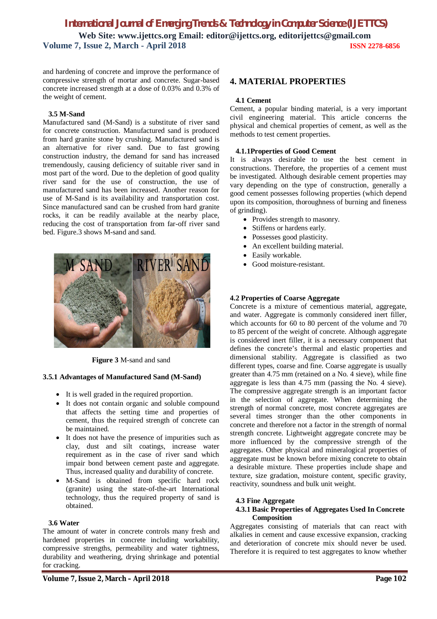and hardening of concrete and improve the performance of compressive strength of mortar and concrete. Sugar-based concrete increased strength at a dose of 0.03% and 0.3% of the weight of cement.

## **3.5 M-Sand**

Manufactured sand (M-Sand) is a substitute of river sand for concrete construction. Manufactured sand is produced from hard granite stone by crushing. Manufactured sand is an alternative for river sand. Due to fast growing construction industry, the demand for sand has increased tremendously, causing deficiency of suitable river sand in most part of the word. Due to the depletion of good quality river sand for the use of construction, the use of manufactured sand has been increased. Another reason for use of M-Sand is its availability and transportation cost. Since manufactured sand can be crushed from hard granite rocks, it can be readily available at the nearby place, reducing the cost of transportation from far-off river sand bed. Figure.3 shows M-sand and sand.



**Figure 3** M-sand and sand

## **3.5.1 Advantages of Manufactured Sand (M-Sand)**

- It is well graded in the required proportion.
- It does not contain organic and soluble compound that affects the setting time and properties of cement, thus the required strength of concrete can be maintained.
- It does not have the presence of impurities such as clay, dust and silt coatings, increase water requirement as in the case of river sand which impair bond between cement paste and aggregate. Thus, increased quality and durability of concrete.
- M-Sand is obtained from specific hard rock (granite) using the state-of-the-art International technology, thus the required property of sand is obtained.

## **3.6 Water**

The amount of water in concrete controls many fresh and hardened properties in concrete including workability, compressive strengths, permeability and water tightness, durability and weathering, drying shrinkage and potential for cracking.

## **4. MATERIAL PROPERTIES**

## **4.1 Cement**

Cement, a popular binding material, is a very important civil engineering material. This article concerns the physical and chemical properties of cement, as well as the methods to test cement properties.

## **4.1.1Properties of Good Cement**

It is always desirable to use the best cement in constructions. Therefore, the properties of a cement must be investigated. Although desirable cement properties may vary depending on the type of construction, generally a good cement possesses following properties (which depend upon its composition, thoroughness of burning and fineness of grinding).

- Provides strength to masonry.
- Stiffens or hardens early.
- Possesses good plasticity.
- An excellent building material.
- Easily workable.
- Good moisture-resistant.

## **4.2 Properties of Coarse Aggregate**

Concrete is a mixture of cementious material, aggregate, and water. Aggregate is commonly considered inert filler, which accounts for 60 to 80 percent of the volume and 70 to 85 percent of the weight of concrete. Although aggregate is considered inert filler, it is a necessary component that defines the concrete's thermal and elastic properties and dimensional stability. Aggregate is classified as two different types, coarse and fine. Coarse aggregate is usually greater than 4.75 mm (retained on a No. 4 sieve), while fine aggregate is less than 4.75 mm (passing the No. 4 sieve). The compressive aggregate strength is an important factor in the selection of aggregate. When determining the strength of normal concrete, most concrete aggregates are several times stronger than the other components in concrete and therefore not a factor in the strength of normal strength concrete. Lightweight aggregate concrete may be more influenced by the compressive strength of the aggregates. Other physical and mineralogical properties of aggregate must be known before mixing concrete to obtain a desirable mixture. These properties include shape and texture, size gradation, moisture content, specific gravity, reactivity, soundness and bulk unit weight.

## **4.3 Fine Aggregate**

## **4.3.1 Basic Properties of Aggregates Used In Concrete Composition**

Aggregates consisting of materials that can react with alkalies in cement and cause excessive expansion, cracking and deterioration of concrete mix should never be used. Therefore it is required to test aggregates to know whether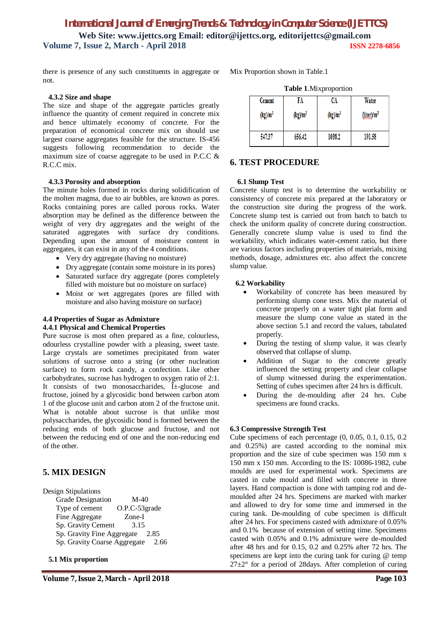there is presence of any such constituents in aggregate or not.

#### **4.3.2 Size and shape**

The size and shape of the aggregate particles greatly influence the quantity of cement required in concrete mix and hence ultimately economy of concrete. For the preparation of economical concrete mix on should use largest coarse aggregates feasible for the structure. IS-456 suggests following recommendation to decide the maximum size of coarse aggregate to be used in P.C.C & R.C.C mix.

#### **4.3.3 Porosity and absorption**

The minute holes formed in rocks during solidification of the molten magma, due to air bubbles, are known as pores. Rocks containing pores are called porous rocks. Water absorption may be defined as the difference between the weight of very dry aggregates and the weight of the saturated aggregates with surface dry conditions. Depending upon the amount of moisture content in aggregates, it can exist in any of the 4 conditions.

- Very dry aggregate (having no moisture)
- Dry aggregate (contain some moisture in its pores)
- Saturated surface dry aggregate (pores completely filled with moisture but no moisture on surface)
- Moist or wet aggregates (pores are filled with moisture and also having moisture on surface)

## **4.4 Properties of Sugar as Admixture 4.4.1 Physical and Chemical Properties**

Pure sucrose is most often prepared as a fine, colourless, odourless crystalline powder with a pleasing, sweet taste. Large crystals are sometimes precipitated from water solutions of sucrose onto a string (or other nucleation surface) to form rock candy, a confection. Like other carbohydrates, sucrose has hydrogen to oxygen ratio of 2:1. It consists of two monosaccharides,  $\hat{I}$  +-glucose and fructose, joined by a glycosidic bond between carbon atom 1 of the glucose unit and carbon atom 2 of the fructose unit. What is notable about sucrose is that unlike most polysaccharides, the glycosidic bond is formed between the reducing ends of both glucose and fructose, and not between the reducing end of one and the non-reducing end of the other.

## **5. MIX DESIGN**

Design Stipulations

Grade Designation M-40 Type of cement O.P.C-53grade Fine Aggregate Zone-I Sp. Gravity Cement 3.15 Sp. Gravity Fine Aggregate 2.85 Sp. Gravity Coarse Aggregate 2.66

 **5.1 Mix proportion**

Mix Proportion shown in Table.1

|            | <b>Table 1.</b> IVITA DI OPOLITOIT |            |                                     |  |
|------------|------------------------------------|------------|-------------------------------------|--|
| Cement     | FA                                 | CA         | Water                               |  |
| $(kg)/m^3$ | $(kg)/m^3$                         | $(kg)/m^3$ | (l <sub>iter</sub> )/m <sup>3</sup> |  |
| 547.37     | 656.42                             | 1038.2     | 191.58                              |  |

**Table 1**.Mixproportion

## **6. TEST PROCEDURE**

#### **6.1 Slump Test**

Concrete slump test is to determine the workability or consistency of concrete mix prepared at the laboratory or the construction site during the progress of the work. Concrete slump test is carried out from batch to batch to check the uniform quality of concrete during construction. Generally concrete slump value is used to find the workability, which indicates water-cement ratio, but there are various factors including properties of materials, mixing methods, dosage, admixtures etc. also affect the concrete slump value.

#### **6.2 Workability**

- Workability of concrete has been measured by performing slump cone tests. Mix the material of concrete properly on a water tight plat form and measure the slump cone value as stated in the above section 5.1 and record the values, tabulated properly.
- During the testing of slump value, it was clearly observed that collapse of slump.
- Addition of Sugar to the concrete greatly influenced the setting property and clear collapse of slump witnessed during the experimentation. Setting of cubes specimen after 24 hrs is difficult.
- During the de-moulding after 24 hrs. Cube specimens are found cracks.

#### **6.3 Compressive Strength Test**

Cube specimens of each percentage (0, 0.05, 0.1, 0.15, 0.2 and 0.25%) are casted according to the nominal mix proportion and the size of cube specimen was 150 mm x 150 mm x 150 mm. According to the IS: 10086-1982, cube moulds are used for experimental work. Specimens are casted in cube mould and filled with concrete in three layers. Hand compaction is done with tamping rod and demoulded after 24 hrs. Specimens are marked with marker and allowed to dry for some time and immersed in the curing tank. De-moulding of cube specimen is difficult after 24 hrs. For specimens casted with admixture of 0.05% and 0.1% because of extension of setting time. Specimens casted with 0.05% and 0.1% admixture were de-moulded after 48 hrs and for 0.15, 0.2 and 0.25% after 72 hrs. The specimens are kept into the curing tank for curing @ temp  $27\pm2^{\circ}$  for a period of 28 days. After completion of curing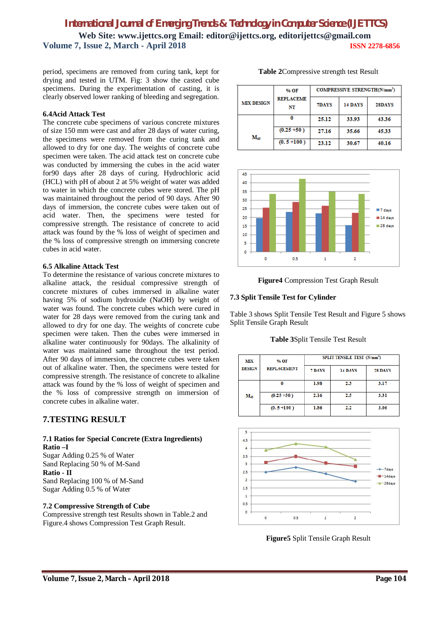period, specimens are removed from curing tank, kept for drying and tested in UTM. Fig: 3 show the casted cube specimens. During the experimentation of casting, it is clearly observed lower ranking of bleeding and segregation.

## **6.4Acid Attack Test**

The concrete cube specimens of various concrete mixtures of size 150 mm were cast and after 28 days of water curing, the specimens were removed from the curing tank and allowed to dry for one day. The weights of concrete cube specimen were taken. The acid attack test on concrete cube was conducted by immersing the cubes in the acid water for90 days after 28 days of curing. Hydrochloric acid (HCL) with pH of about 2 at 5% weight of water was added to water in which the concrete cubes were stored. The pH was maintained throughout the period of 90 days. After 90 days of immersion, the concrete cubes were taken out of acid water. Then, the specimens were tested for compressive strength. The resistance of concrete to acid attack was found by the % loss of weight of specimen and the % loss of compressive strength on immersing concrete cubes in acid water.

#### **6.5 Alkaline Attack Test**

To determine the resistance of various concrete mixtures to alkaline attack, the residual compressive strength of concrete mixtures of cubes immersed in alkaline water having 5% of sodium hydroxide (NaOH) by weight of water was found. The concrete cubes which were cured in water for 28 days were removed from the curing tank and allowed to dry for one day. The weights of concrete cube specimen were taken. Then the cubes were immersed in alkaline water continuously for 90days. The alkalinity of water was maintained same throughout the test period. After 90 days of immersion, the concrete cubes were taken out of alkaline water. Then, the specimens were tested for compressive strength. The resistance of concrete to alkaline attack was found by the % loss of weight of specimen and the % loss of compressive strength on immersion of concrete cubes in alkaline water.

## **7.TESTING RESULT**

## **7.1 Ratios for Special Concrete (Extra Ingredients) Ratio –I**  Sugar Adding 0.25 % of Water

Sand Replacing 50 % of M-Sand **Ratio - II** Sand Replacing 100 % of M-Sand Sugar Adding 0.5 % of Water

#### **7.2 Compressive Strength of Cube**

Compressive strength test Results shown in Table.2 and Figure.4 shows Compression Test Graph Result.

|                   | % OF                   | <b>COMPRESSIVE STRENGTH(N/mm<sup>2</sup>)</b> |         |        |
|-------------------|------------------------|-----------------------------------------------|---------|--------|
| <b>MIX DESIGN</b> | <b>REPLACEME</b><br>NT | 7DAYS                                         | 14 DAYS | 28DAYS |
|                   |                        | 25.12                                         | 33.93   | 43.36  |
| M.o               | $(0.25 + 50)$          | 27.16                                         | 35.66   | 45.33  |
|                   | $(0.5 + 100)$          | 23.12                                         | 30.67   | 40.16  |

**Table 2**Compressive strength test Result





## **7.3 Split Tensile Test for Cylinder**

Table 3 shows Split Tensile Test Result and Figure 5 shows Split Tensile Graph Result

**Table 3**Split Tensile Test Result

| MІХ<br><b>DESIGN</b> | % OF               | SPLIT TENSILE TEST (N/mm <sup>2</sup> ) |         |         |
|----------------------|--------------------|-----------------------------------------|---------|---------|
|                      | <b>REPLACEMENT</b> | 7 DAYS                                  | 14 DAYS | 28 DAYS |
|                      |                    | 1.98                                    | 2.3     | 3.17    |
| M40                  | $(0.25 + 50)$      | 2.16                                    | 2.5     | 3.31    |
|                      | $(0.5 + 100)$      | 1.86                                    | 2.2     | 3.06    |



**Figure5** Split Tensile Graph Result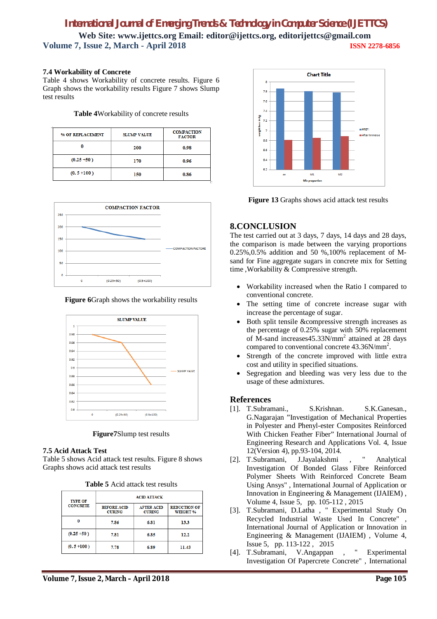## **7.4 Workability of Concrete**

Table 4 shows Workability of concrete results. Figure 6 Graph shows the workability results Figure 7 shows Slump test results

## **Table 4**Workability of concrete results

| % OF REPLACEMENT | <b>SLUMP VALUE</b> | <b>COMPACTION</b><br><b>FACTOR</b> |
|------------------|--------------------|------------------------------------|
| 0                | 200                | 0.98                               |
| $(0.25 + 50)$    | 170                | 0.96                               |
| $(0.5 + 100)$    | 150                | 0.86                               |



**Figure 6**Graph shows the workability results



**Figure7**Slump test results

#### **7.5 Acid Attack Test**

Table 5 shows Acid attack test results. Figure 8 shows Graphs shows acid attack test results

| <b>Table 5</b> Acid attack test results |  |  |  |  |
|-----------------------------------------|--|--|--|--|
|-----------------------------------------|--|--|--|--|

| <b>TYPE OF</b>  |                                     | <b>ACID ATTACK</b>                 |                                        |
|-----------------|-------------------------------------|------------------------------------|----------------------------------------|
| <b>CONCRETE</b> | <b>BEFORE ACID</b><br><b>CURING</b> | <b>AFTER ACID</b><br><b>CURING</b> | <b>REDUCTION OF</b><br><b>WEIGHT %</b> |
| O               | 7.86                                | 6.81                               | 13.3                                   |
| $(0.25 + 50)$   | 7.81                                | 6.85                               | 12.2                                   |
| $(0.5 + 100)$   | 7.78                                | 6.89                               | 11.43                                  |



**Figure 13** Graphs shows acid attack test results

## **8.CONCLUSION**

The test carried out at 3 days, 7 days, 14 days and 28 days, the comparison is made between the varying proportions 0.25%,0.5% addition and 50 %,100% replacement of Msand for Fine aggregate sugars in concrete mix for Setting time ,Workability & Compressive strength.

- Workability increased when the Ratio I compared to conventional concrete.
- The setting time of concrete increase sugar with increase the percentage of sugar.
- Both split tensile &compressive strength increases as the percentage of  $0.25\%$  sugar with 50% replacement of M-sand increases45.33N/mm<sup>2</sup> attained at 28 days compared to conventional concrete 43.36N/mm<sup>2</sup>.
- Strength of the concrete improved with little extra cost and utility in specified situations.
- Segregation and bleeding was very less due to the usage of these admixtures.

## **References**

- [1]. T.Subramani., S.Krishnan. S.K.Ganesan., G.Nagarajan "Investigation of Mechanical Properties in Polyester and Phenyl-ester Composites Reinforced With Chicken Feather Fiber" International Journal of Engineering Research and Applications Vol. 4, Issue 12(Version 4), pp.93-104, 2014.
- [2]. T.Subramani, J.Jayalakshmi , " Analytical Investigation Of Bonded Glass Fibre Reinforced Polymer Sheets With Reinforced Concrete Beam Using Ansys" , International Journal of Application or Innovation in Engineering & Management (IJAIEM) , Volume 4, Issue 5, pp. 105-112 , 2015
- [3]. T.Subramani, D.Latha , " Experimental Study On Recycled Industrial Waste Used In Concrete" International Journal of Application or Innovation in Engineering & Management (IJAIEM) , Volume 4, Issue 5, pp. 113-122 , 2015
- [4]. T.Subramani, V.Angappan , " Experimental Investigation Of Papercrete Concrete" , International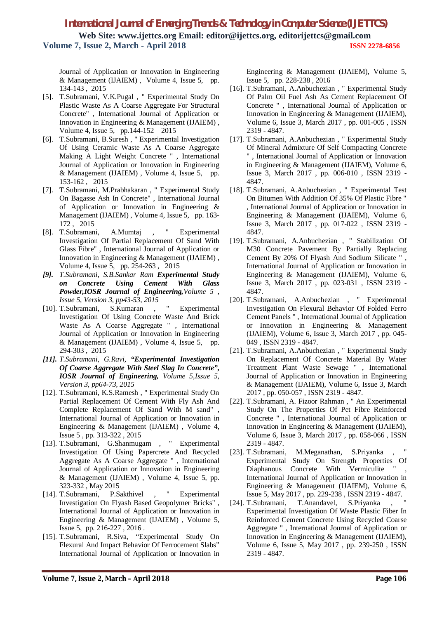Journal of Application or Innovation in Engineering & Management (IJAIEM) , Volume 4, Issue 5, pp. 134-143 , 2015

- [5]. T.Subramani, V.K.Pugal , " Experimental Study On Plastic Waste As A Coarse Aggregate For Structural Concrete" , International Journal of Application or Innovation in Engineering & Management (IJAIEM) , Volume 4, Issue 5, pp.144-152 2015
- [6]. T.Subramani, B.Suresh , " Experimental Investigation Of Using Ceramic Waste As A Coarse Aggregate Making A Light Weight Concrete " , International Journal of Application or Innovation in Engineering & Management (IJAIEM) , Volume 4, Issue 5, pp. 153-162 , 2015
- [7]. T.Subramani, M.Prabhakaran , " Experimental Study On Bagasse Ash In Concrete" , International Journal of Application or Innovation in Engineering & Management (IJAIEM) , Volume 4, Issue 5, pp. 163- 172 , 2015
- [8]. T.Subramani, A.Mumtaj , " Experimental Investigation Of Partial Replacement Of Sand With Glass Fibre" , International Journal of Application or Innovation in Engineering & Management (IJAIEM) , Volume 4, Issue 5, pp. 254-263 , 2015
- *[9]. T.Subramani, S.B.Sankar Ram Experimental Study on Concrete Using Cement With Glass Powder,IOSR Journal of Engineering,Volume 5 , Issue 5, Version 3, pp43-53, 2015*
- [10]. T.Subramani, S.Kumaran , " Experimental Investigation Of Using Concrete Waste And Brick Waste As A Coarse Aggregate " , International Journal of Application or Innovation in Engineering & Management (IJAIEM) , Volume 4, Issue 5, pp. 294-303 , 2015
- *[11]. T.Subramani, G.Ravi, "Experimental Investigation Of Coarse Aggregate With Steel Slag In Concrete", IOSR Journal of Engineering, Volume 5,Issue 5, Version 3, pp64-73, 2015*
- [12]. T.Subramani, K.S.Ramesh , " Experimental Study On Partial Replacement Of Cement With Fly Ash And Complete Replacement Of Sand With M sand" , International Journal of Application or Innovation in Engineering & Management (IJAIEM) , Volume 4, Issue 5 , pp. 313-322 , 2015
- [13]. T.Subramani, G.Shanmugam , " Experimental Investigation Of Using Papercrete And Recycled Aggregate As A Coarse Aggregate " , International Journal of Application or Innovation in Engineering & Management (IJAIEM) , Volume 4, Issue 5, pp. 323-332 , May 2015
- [14]. T.Subramani, P.Sakthivel , " Experimental Investigation On Flyash Based Geopolymer Bricks" , International Journal of Application or Innovation in Engineering & Management (IJAIEM) , Volume 5, Issue 5, pp. 216-227 , 2016 .
- [15]. T.Subramani, R.Siva, "Experimental Study On Flexural And Impact Behavior Of Ferrocement Slabs" International Journal of Application or Innovation in

Engineering & Management (IJAIEM), Volume 5, Issue 5, pp. 228-238 , 2016

- [16]. T.Subramani, A.Anbuchezian , " Experimental Study Of Palm Oil Fuel Ash As Cement Replacement Of Concrete " , International Journal of Application or Innovation in Engineering & Management (IJAIEM), Volume 6, Issue 3, March 2017 , pp. 001-005 , ISSN 2319 - 4847.
- [17]. T.Subramani, A.Anbuchezian , " Experimental Study Of Mineral Admixture Of Self Compacting Concrete " , International Journal of Application or Innovation in Engineering & Management (IJAIEM), Volume 6, Issue 3, March 2017 , pp. 006-010 , ISSN 2319 - 4847.
- [18]. T.Subramani, A.Anbuchezian, "Experimental Test On Bitumen With Addition Of 35% Of Plastic Fibre " , International Journal of Application or Innovation in Engineering & Management (IJAIEM), Volume 6, Issue 3, March 2017 , pp. 017-022 , ISSN 2319 - 4847.
- [19]. T.Subramani, A.Anbuchezian , " Stabilization Of M30 Concrete Pavement By Partially Replacing Cement By 20% Of Flyash And Sodium Silicate " , International Journal of Application or Innovation in Engineering & Management (IJAIEM), Volume 6, Issue 3, March 2017 , pp. 023-031 , ISSN 2319 - 4847.
- [20]. T.Subramani, A.Anbuchezian , " Experimental Investigation On Flexural Behavior Of Folded Ferro Cement Panels " , International Journal of Application or Innovation in Engineering & Management (IJAIEM), Volume 6, Issue 3, March 2017 , pp. 045- 049 , ISSN 2319 - 4847.
- [21]. T.Subramani, A.Anbuchezian , " Experimental Study On Replacement Of Concrete Material By Water Treatment Plant Waste Sewage " , International Journal of Application or Innovation in Engineering & Management (IJAIEM), Volume 6, Issue 3, March 2017 , pp. 050-057 , ISSN 2319 - 4847.
- [22]. T.Subramani, A. Fizoor Rahman , " An Experimental Study On The Properties Of Pet Fibre Reinforced Concrete " , International Journal of Application or Innovation in Engineering & Management (IJAIEM), Volume 6, Issue 3, March 2017 , pp. 058-066 , ISSN 2319 - 4847.
- [23]. T.Subramani, M.Meganathan, S.Priyanka, Experimental Study On Strength Properties Of Diaphanous Concrete With Vermiculite " International Journal of Application or Innovation in Engineering & Management (IJAIEM), Volume 6, Issue 5, May 2017 , pp. 229-238 , ISSN 2319 - 4847.
- [24]. T.Subramani, T.Anandavel, S.Priyanka, Experimental Investigation Of Waste Plastic Fiber In Reinforced Cement Concrete Using Recycled Coarse Aggregate " , International Journal of Application or Innovation in Engineering & Management (IJAIEM), Volume 6, Issue 5, May 2017 , pp. 239-250 , ISSN 2319 - 4847.